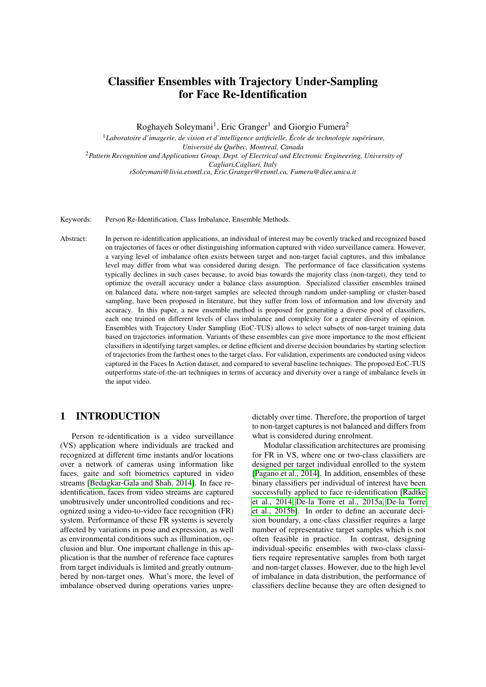# Classifier Ensembles with Trajectory Under-Sampling for Face Re-Identification

Roghayeh Soleymani<sup>1</sup>, Eric Granger<sup>1</sup> and Giorgio Fumera<sup>2</sup>

<sup>1</sup>*Laboratoire d'imagerie, de vision et d'intelligence artificielle, École de technologie supérieure, Université du Québec, Montreal, Canada* <sup>2</sup>*Pattern Recognition and Applications Group, Dept. of Electrical and Electronic Engineering, University of Cagliari,Cagliari, Italy rSoleymani@livia.etsmtl.ca, Eric.Granger@etsmtl.ca, Fumera@diee.unica.it*

Keywords: Person Re-Identification, Class Imbalance, Ensemble Methods.

Abstract: In person re-identification applications, an individual of interest may be covertly tracked and recognized based on trajectories of faces or other distinguishing information captured with video surveillance camera. However, a varying level of imbalance often exists between target and non-target facial captures, and this imbalance level may differ from what was considered during design. The performance of face classification systems typically declines in such cases because, to avoid bias towards the majority class (non-target), they tend to optimize the overall accuracy under a balance class assumption. Specialized classifier ensembles trained on balanced data, where non-target samples are selected through random under-sampling or cluster-based sampling, have been proposed in literature, but they suffer from loss of information and low diversity and accuracy. In this paper, a new ensemble method is proposed for generating a diverse pool of classifiers, each one trained on different levels of class imbalance and complexity for a greater diversity of opinion. Ensembles with Trajectory Under Sampling (EoC-TUS) allows to select subsets of non-target training data based on trajectories information. Variants of these ensembles can give more importance to the most efficient classifiers in identifying target samples, or define efficient and diverse decision boundaries by starting selection of trajectories from the farthest ones to the target class. For validation, experiments are conducted using videos captured in the Faces In Action dataset, and compared to several baseline techniques. The proposed EoC-TUS outperforms state-of-the-art techniques in terms of accuracy and diversity over a range of imbalance levels in the input video.

## 1 INTRODUCTION

Person re-identification is a video surveillance (VS) application where individuals are tracked and recognized at different time instants and/or locations over a network of cameras using information like faces, gaite and soft biometrics captured in video streams [\[Bedagkar-Gala and Shah, 2014\]](#page-10-0). In face reidentification, faces from video streams are captured unobtrusively under uncontrolled conditions and recognized using a video-to-video face recognition (FR) system. Performance of these FR systems is severely affected by variations in pose and expression, as well as environmental conditions such as illumination, occlusion and blur. One important challenge in this application is that the number of reference face captures from target individuals is limited and greatly outnumbered by non-target ones. What's more, the level of imbalance observed during operations varies unpredictably over time. Therefore, the proportion of target to non-target captures is not balanced and differs from what is considered during enrolment.

Modular classification architectures are promising for FR in VS, where one or two-class classifiers are designed per target individual enrolled to the system [\[Pagano et al., 2014\]](#page-10-1). In addition, ensembles of these binary classifiers per individual of interest have been successfully applied to face re-identification [\[Radtke](#page-10-2) [et al., 2014,](#page-10-2) [De-la Torre et al., 2015a,](#page-10-3) [De-la Torre](#page-10-4) [et al., 2015b\]](#page-10-4). In order to define an accurate decision boundary, a one-class classifier requires a large number of representative target samples which is not often feasible in practice. In contrast, designing individual-specific ensembles with two-class classifiers require representative samples from both target and non-target classes. However, due to the high level of imbalance in data distribution, the performance of classifiers decline because they are often designed to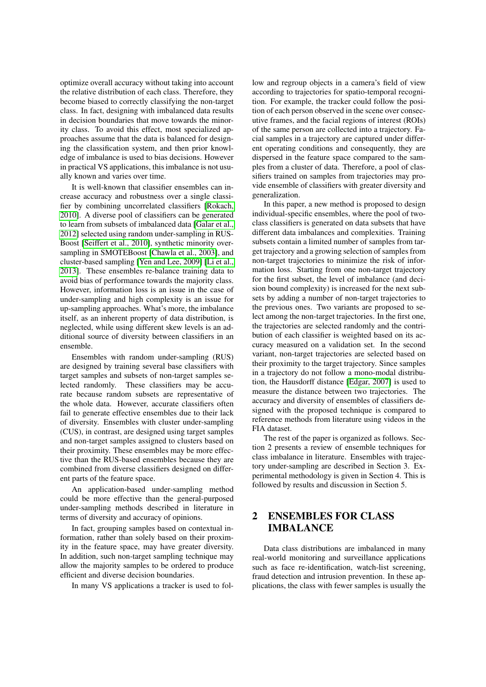optimize overall accuracy without taking into account the relative distribution of each class. Therefore, they become biased to correctly classifying the non-target class. In fact, designing with imbalanced data results in decision boundaries that move towards the minority class. To avoid this effect, most specialized approaches assume that the data is balanced for designing the classification system, and then prior knowledge of imbalance is used to bias decisions. However in practical VS applications, this imbalance is not usually known and varies over time.

It is well-known that classifier ensembles can increase accuracy and robustness over a single classifier by combining uncorrelated classifiers [\[Rokach,](#page-10-5) [2010\]](#page-10-5). A diverse pool of classifiers can be generated to learn from subsets of imbalanced data [\[Galar et al.,](#page-10-6) [2012\]](#page-10-6) selected using random under-sampling in RUS-Boost [\[Seiffert et al., 2010\]](#page-11-0), synthetic minority oversampling in SMOTEBoost [\[Chawla et al., 2003\]](#page-10-7), and cluster-based sampling [\[Yen and Lee, 2009\]](#page-11-1) [\[Li et al.,](#page-10-8) [2013\]](#page-10-8). These ensembles re-balance training data to avoid bias of performance towards the majority class. However, information loss is an issue in the case of under-sampling and high complexity is an issue for up-sampling approaches. What's more, the imbalance itself, as an inherent property of data distribution, is neglected, while using different skew levels is an additional source of diversity between classifiers in an ensemble.

Ensembles with random under-sampling (RUS) are designed by training several base classifiers with target samples and subsets of non-target samples selected randomly. These classifiers may be accurate because random subsets are representative of the whole data. However, accurate classifiers often fail to generate effective ensembles due to their lack of diversity. Ensembles with cluster under-sampling (CUS), in contrast, are designed using target samples and non-target samples assigned to clusters based on their proximity. These ensembles may be more effective than the RUS-based ensembles because they are combined from diverse classifiers designed on different parts of the feature space.

An application-based under-sampling method could be more effective than the general-purposed under-sampling methods described in literature in terms of diversity and accuracy of opinions.

In fact, grouping samples based on contextual information, rather than solely based on their proximity in the feature space, may have greater diversity. In addition, such non-target sampling technique may allow the majority samples to be ordered to produce efficient and diverse decision boundaries.

In many VS applications a tracker is used to fol-

low and regroup objects in a camera's field of view according to trajectories for spatio-temporal recognition. For example, the tracker could follow the position of each person observed in the scene over consecutive frames, and the facial regions of interest (ROIs) of the same person are collected into a trajectory. Facial samples in a trajectory are captured under different operating conditions and consequently, they are dispersed in the feature space compared to the samples from a cluster of data. Therefore, a pool of classifiers trained on samples from trajectories may provide ensemble of classifiers with greater diversity and generalization.

In this paper, a new method is proposed to design individual-specific ensembles, where the pool of twoclass classifiers is generated on data subsets that have different data imbalances and complexities. Training subsets contain a limited number of samples from target trajectory and a growing selection of samples from non-target trajectories to minimize the risk of information loss. Starting from one non-target trajectory for the first subset, the level of imbalance (and decision bound complexity) is increased for the next subsets by adding a number of non-target trajectories to the previous ones. Two variants are proposed to select among the non-target trajectories. In the first one, the trajectories are selected randomly and the contribution of each classifier is weighted based on its accuracy measured on a validation set. In the second variant, non-target trajectories are selected based on their proximity to the target trajectory. Since samples in a trajectory do not follow a mono-modal distribution, the Hausdorff distance [\[Edgar, 2007\]](#page-10-9) is used to measure the distance between two trajectories. The accuracy and diversity of ensembles of classifiers designed with the proposed technique is compared to reference methods from literature using videos in the FIA dataset.

The rest of the paper is organized as follows. Section 2 presents a review of ensemble techniques for class imbalance in literature. Ensembles with trajectory under-sampling are described in Section 3. Experimental methodology is given in Section 4. This is followed by results and discussion in Section 5.

## 2 ENSEMBLES FOR CLASS IMBALANCE

Data class distributions are imbalanced in many real-world monitoring and surveillance applications such as face re-identification, watch-list screening, fraud detection and intrusion prevention. In these applications, the class with fewer samples is usually the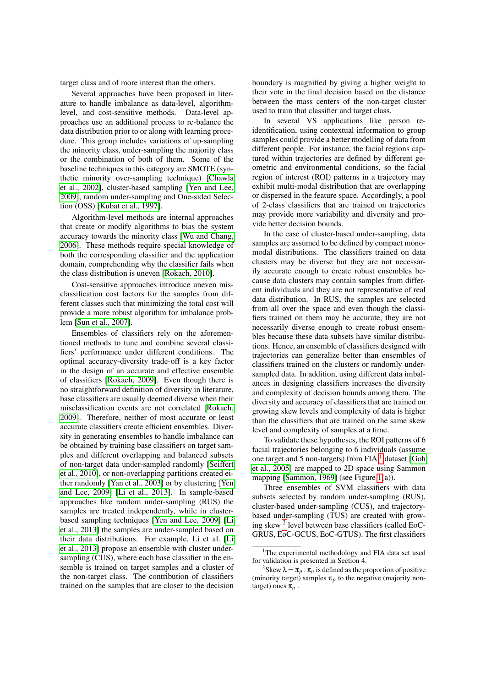target class and of more interest than the others.

Several approaches have been proposed in literature to handle imbalance as data-level, algorithmlevel, and cost-sensitive methods. Data-level approaches use an additional process to re-balance the data distribution prior to or along with learning procedure. This group includes variations of up-sampling the minority class, under-sampling the majority class or the combination of both of them. Some of the baseline techniques in this category are SMOTE (synthetic minority over-sampling technique) [\[Chawla](#page-10-10) [et al., 2002\]](#page-10-10), cluster-based sampling [\[Yen and Lee,](#page-11-1) [2009\]](#page-11-1), random under-sampling and One-sided Selection (OSS) [\[Kubat et al., 1997\]](#page-10-11).

Algorithm-level methods are internal approaches that create or modify algorithms to bias the system accuracy towards the minority class [\[Wu and Chang,](#page-11-2) [2006\]](#page-11-2). These methods require special knowledge of both the corresponding classifier and the application domain, comprehending why the classifier fails when the class distribution is uneven [\[Rokach, 2010\]](#page-10-5).

Cost-sensitive approaches introduce uneven misclassification cost factors for the samples from different classes such that minimizing the total cost will provide a more robust algorithm for imbalance problem [\[Sun et al., 2007\]](#page-11-3).

Ensembles of classifiers rely on the aforementioned methods to tune and combine several classifiers' performance under different conditions. The optimal accuracy-diversity trade-off is a key factor in the design of an accurate and effective ensemble of classifiers [\[Rokach, 2009\]](#page-10-12). Even though there is no straightforward definition of diversity in literature, base classifiers are usually deemed diverse when their misclassification events are not correlated [\[Rokach,](#page-10-12) [2009\]](#page-10-12). Therefore, neither of most accurate or least accurate classifiers create efficient ensembles. Diversity in generating ensembles to handle imbalance can be obtained by training base classifiers on target samples and different overlapping and balanced subsets of non-target data under-sampled randomly [\[Seiffert](#page-11-0) [et al., 2010\]](#page-11-0), or non-overlapping partitions created either randomly [\[Yan et al., 2003\]](#page-11-4) or by clustering [\[Yen](#page-11-1) [and Lee, 2009\]](#page-11-1) [\[Li et al., 2013\]](#page-10-8). In sample-based approaches like random under-sampling (RUS) the samples are treated independently, while in clusterbased sampling techniques [\[Yen and Lee, 2009\]](#page-11-1) [\[Li](#page-10-8) [et al., 2013\]](#page-10-8) the samples are under-sampled based on their data distributions. For example, Li et al. [\[Li](#page-10-8) [et al., 2013\]](#page-10-8) propose an ensemble with cluster undersampling (CUS), where each base classifier in the ensemble is trained on target samples and a cluster of the non-target class. The contribution of classifiers trained on the samples that are closer to the decision

boundary is magnified by giving a higher weight to their vote in the final decision based on the distance between the mass centers of the non-target cluster used to train that classifier and target class.

In several VS applications like person reidentification, using contextual information to group samples could provide a better modelling of data from different people. For instance, the facial regions captured within trajectories are defined by different geometric and environmental conditions, so the facial region of interest (ROI) patterns in a trajectory may exhibit multi-modal distribution that are overlapping or dispersed in the feature space. Accordingly, a pool of 2-class classifiers that are trained on trajectories may provide more variability and diversity and provide better decision bounds.

In the case of cluster-based under-sampling, data samples are assumed to be defined by compact monomodal distributions. The classifiers trained on data clusters may be diverse but they are not necessarily accurate enough to create robust ensembles because data clusters may contain samples from different individuals and they are not representative of real data distribution. In RUS, the samples are selected from all over the space and even though the classifiers trained on them may be accurate, they are not necessarily diverse enough to create robust ensembles because these data subsets have similar distributions. Hence, an ensemble of classifiers designed with trajectories can generalize better than ensembles of classifiers trained on the clusters or randomly undersampled data. In addition, using different data imbalances in designing classifiers increases the diversity and complexity of decision bounds among them. The diversity and accuracy of classifiers that are trained on growing skew levels and complexity of data is higher than the classifiers that are trained on the same skew level and complexity of samples at a time.

To validate these hypotheses, the ROI patterns of 6 facial trajectories belonging to 6 individuals (assume one target and 5 non-targets) from FIA  $<sup>1</sup>$  $<sup>1</sup>$  $<sup>1</sup>$  dataset [\[Goh](#page-10-13)</sup> [et al., 2005\]](#page-10-13) are mapped to 2D space using Sammon mapping [\[Sammon, 1969\]](#page-10-14) (see Figure [1\(](#page-4-0)a)).

Three ensembles of SVM classifiers with data subsets selected by random under-sampling (RUS), cluster-based under-sampling (CUS), and trajectorybased under-sampling (TUS) are created with growing skew [2](#page-2-1) level between base classifiers (called EoC-GRUS, EoC-GCUS, EoC-GTUS). The first classifiers

<span id="page-2-0"></span><sup>&</sup>lt;sup>1</sup>The experimental methodology and FIA data set used for validation is presented in Section 4.

<span id="page-2-1"></span><sup>&</sup>lt;sup>2</sup>Skew  $\lambda = \pi_p : \pi_n$  is defined as the proportion of positive (minority target) samples  $\pi_p$  to the negative (majority nontarget) ones π*n* .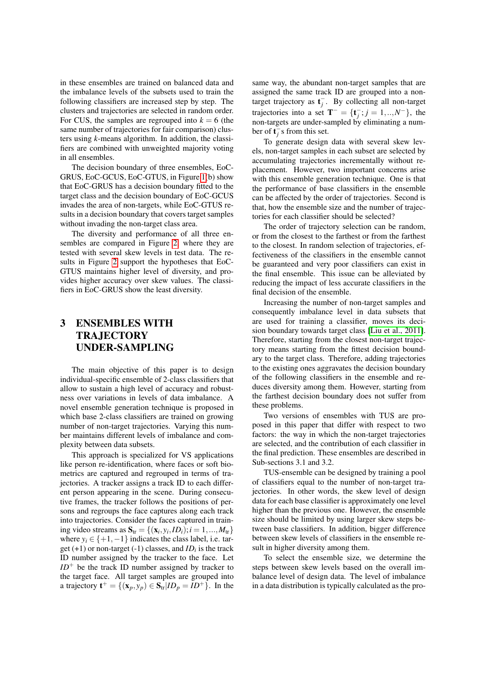in these ensembles are trained on balanced data and the imbalance levels of the subsets used to train the following classifiers are increased step by step. The clusters and trajectories are selected in random order. For CUS, the samples are regrouped into  $k = 6$  (the same number of trajectories for fair comparison) clusters using *k*-means algorithm. In addition, the classifiers are combined with unweighted majority voting in all ensembles.

The decision boundary of three ensembles, EoC-GRUS, EoC-GCUS, EoC-GTUS, in Figure [1\(](#page-4-0)b) show that EoC-GRUS has a decision boundary fitted to the target class and the decision boundary of EoC-GCUS invades the area of non-targets, while EoC-GTUS results in a decision boundary that covers target samples without invading the non-target class area.

The diversity and performance of all three ensembles are compared in Figure [2,](#page-4-1) where they are tested with several skew levels in test data. The results in Figure [2](#page-4-1) support the hypotheses that EoC-GTUS maintains higher level of diversity, and provides higher accuracy over skew values. The classifiers in EoC-GRUS show the least diversity.

## 3 ENSEMBLES WITH TRAJECTORY UNDER-SAMPLING

The main objective of this paper is to design individual-specific ensemble of 2-class classifiers that allow to sustain a high level of accuracy and robustness over variations in levels of data imbalance. A novel ensemble generation technique is proposed in which base 2-class classifiers are trained on growing number of non-target trajectories. Varying this number maintains different levels of imbalance and complexity between data subsets.

This approach is specialized for VS applications like person re-identification, where faces or soft biometrics are captured and regrouped in terms of trajectories. A tracker assigns a track ID to each different person appearing in the scene. During consecutive frames, the tracker follows the positions of persons and regroups the face captures along each track into trajectories. Consider the faces captured in training video streams as  $S_{tr} = \{(\mathbf{x}_i, y_i, ID_i); i = 1, ..., M_{tr}\}\$ where  $y_i \in \{+1, -1\}$  indicates the class label, i.e. target (+1) or non-target (-1) classes, and *ID<sup>i</sup>* is the track ID number assigned by the tracker to the face. Let  $ID^+$  be the track ID number assigned by tracker to the target face. All target samples are grouped into a trajectory  $\mathbf{t}^+ = \{(\mathbf{x}_p, y_p) \in \mathbf{S}_{tr} | ID_p = ID^+\}$ . In the

same way, the abundant non-target samples that are assigned the same track ID are grouped into a nontarget trajectory as  $\mathbf{t}_j^-$ . By collecting all non-target trajectories into a set **T**<sup>-</sup> = {**t**<sub>*j*</sub> ; *j* = 1, ...,*N*<sup>-</sup>}, the non-targets are under-sampled by eliminating a number of  $\mathbf{t}^-_j$ s from this set.

To generate design data with several skew levels, non-target samples in each subset are selected by accumulating trajectories incrementally without replacement. However, two important concerns arise with this ensemble generation technique. One is that the performance of base classifiers in the ensemble can be affected by the order of trajectories. Second is that, how the ensemble size and the number of trajectories for each classifier should be selected?

The order of trajectory selection can be random, or from the closest to the farthest or from the farthest to the closest. In random selection of trajectories, effectiveness of the classifiers in the ensemble cannot be guaranteed and very poor classifiers can exist in the final ensemble. This issue can be alleviated by reducing the impact of less accurate classifiers in the final decision of the ensemble.

Increasing the number of non-target samples and consequently imbalance level in data subsets that are used for training a classifier, moves its decision boundary towards target class [\[Liu et al., 2011\]](#page-10-15). Therefore, starting from the closest non-target trajectory means starting from the fittest decision boundary to the target class. Therefore, adding trajectories to the existing ones aggravates the decision boundary of the following classifiers in the ensemble and reduces diversity among them. However, starting from the farthest decision boundary does not suffer from these problems.

Two versions of ensembles with TUS are proposed in this paper that differ with respect to two factors: the way in which the non-target trajectories are selected, and the contribution of each classifier in the final prediction. These ensembles are described in Sub-sections 3.1 and 3.2.

TUS-ensemble can be designed by training a pool of classifiers equal to the number of non-target trajectories. In other words, the skew level of design data for each base classifier is approximately one level higher than the previous one. However, the ensemble size should be limited by using larger skew steps between base classifiers. In addition, bigger difference between skew levels of classifiers in the ensemble result in higher diversity among them.

To select the ensemble size, we determine the steps between skew levels based on the overall imbalance level of design data. The level of imbalance in a data distribution is typically calculated as the pro-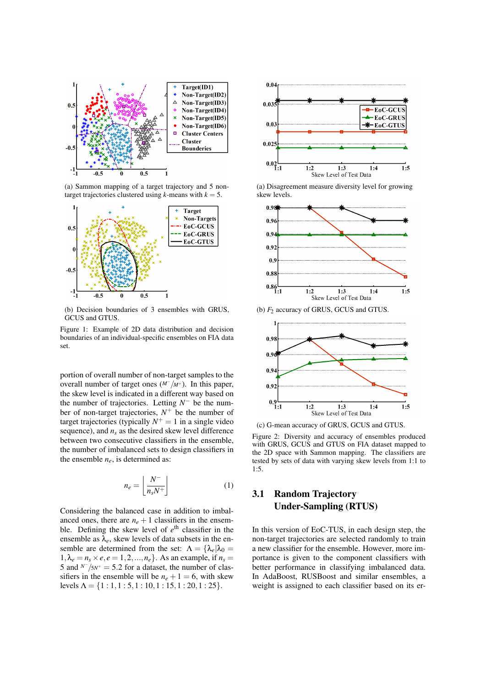<span id="page-4-0"></span>

(a) Sammon mapping of a target trajectory and 5 nontarget trajectories clustered using *k*-means with  $k = 5$ .



(b) Decision boundaries of 3 ensembles with GRUS, GCUS and GTUS.

Figure 1: Example of 2D data distribution and decision boundaries of an individual-specific ensembles on FIA data set.

portion of overall number of non-target samples to the overall number of target ones (*M*<sup>−</sup> /*M*<sup>+</sup>). In this paper, the skew level is indicated in a different way based on the number of trajectories. Letting  $N^-$  be the number of non-target trajectories,  $N^+$  be the number of target trajectories (typically  $N^+ = 1$  in a single video sequence), and  $n<sub>s</sub>$  as the desired skew level difference between two consecutive classifiers in the ensemble, the number of imbalanced sets to design classifiers in the ensemble  $n_e$ , is determined as:

<span id="page-4-2"></span>
$$
n_e = \left\lfloor \frac{N^-}{n_s N^+} \right\rfloor \tag{1}
$$

Considering the balanced case in addition to imbalanced ones, there are  $n_e + 1$  classifiers in the ensemble. Defining the skew level of  $e^{\text{th}}$  classifier in the ensemble as  $\lambda_e$ , skew levels of data subsets in the ensemble are determined from the set:  $\Lambda = {\lambda_e | \lambda_0}$  $1, \lambda_e = n_s \times e, e = 1, 2, \ldots, n_e$ . As an example, if  $n_s =$ 5 and  $N^{-}/5N^{+} = 5.2$  for a dataset, the number of classifiers in the ensemble will be  $n_e + 1 = 6$ , with skew levels  $\Lambda = \{1: 1, 1: 5, 1: 10, 1: 15, 1: 20, 1: 25\}.$ 

<span id="page-4-1"></span>

(a) Disagreement measure diversity level for growing skew levels.







Figure 2: Diversity and accuracy of ensembles produced with GRUS, GCUS and GTUS on FIA dataset mapped to the 2D space with Sammon mapping. The classifiers are tested by sets of data with varying skew levels from 1:1 to 1:5.

## 3.1 Random Trajectory Under-Sampling (RTUS)

In this version of EoC-TUS, in each design step, the non-target trajectories are selected randomly to train a new classifier for the ensemble. However, more importance is given to the component classifiers with better performance in classifying imbalanced data. In AdaBoost, RUSBoost and similar ensembles, a weight is assigned to each classifier based on its er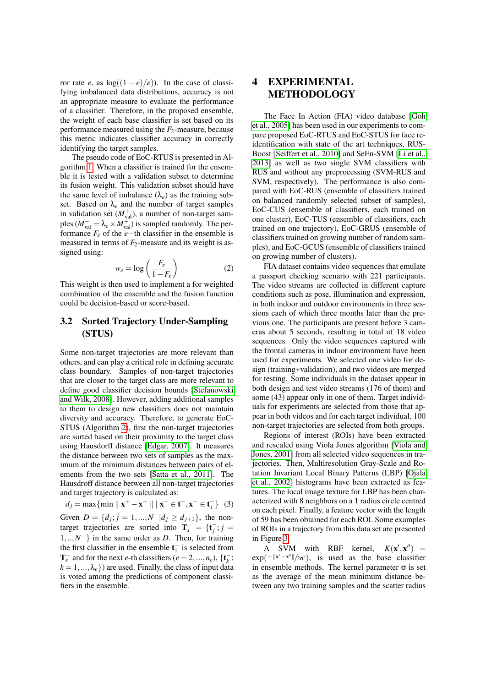ror rate *e*, as  $log((1-e)/e)$ ). In the case of classifying imbalanced data distributions, accuracy is not an appropriate measure to evaluate the performance of a classifier. Therefore, in the proposed ensemble, the weight of each base classifier is set based on its performance measured using the *F*2-measure, because this metric indicates classifier accuracy in correctly identifying the target samples.

The pseudo code of EoC-RTUS is presented in Algorithm [1.](#page-6-0) When a classifier is trained for the ensemble it is tested with a validation subset to determine its fusion weight. This validation subset should have the same level of imbalance  $(\lambda_e)$  as the training subset. Based on  $\lambda_e$  and the number of target samples in validation set  $(M_{\text{val}}^{+})$ , a number of non-target samples ( $M_{\text{val}}^-$  =  $\lambda_e \times M_{\text{val}}^+$ ) is sampled randomly. The performance  $F_e$  of the *e*−th classifier in the ensemble is measured in terms of  $F_2$ -measure and its weight is assigned using:

$$
w_e = \log\left(\frac{F_e}{1 - F_e}\right) \tag{2}
$$

This weight is then used to implement a for weighted combination of the ensemble and the fusion function could be decision-based or score-based.

## 3.2 Sorted Trajectory Under-Sampling (STUS)

Some non-target trajectories are more relevant than others, and can play a critical role in defining accurate class boundary. Samples of non-target trajectories that are closer to the target class are more relevant to define good classifier decision bounds [\[Stefanowski](#page-11-5) [and Wilk, 2008\]](#page-11-5). However, adding additional samples to them to design new classifiers does not maintain diversity and accuracy. Therefore, to generate EoC-STUS (Algorithm [2\)](#page-6-1), first the non-target trajectories are sorted based on their proximity to the target class using Hausdorff distance [\[Edgar, 2007\]](#page-10-9). It measures the distance between two sets of samples as the maximum of the minimum distances between pairs of elements from the two sets [\[Satta et al., 2011\]](#page-11-6). The Hausdroff distance between all non-target trajectories and target trajectory is calculated as:

<span id="page-5-0"></span> $d_j = \max\{\min \|\mathbf{x}^+ - \mathbf{x}^- \| \|\mathbf{x}^+ \in \mathbf{t}^+, \mathbf{x}^- \in \mathbf{t}_j^-\}$  (3) Given  $D = \{d_j; j = 1, ..., N^- | d_j \ge d_{j+1}\}$ , the nontarget trajectories are sorted into  $\mathbf{T}_s^- = {\mathbf{t}_j^-; j = \mathbf{t}_j^-}$ 1,..,*N* <sup>−</sup>} in the same order as *D*. Then, for training the first classifier in the ensemble  $t_1^-$  is selected from  $\mathbf{T}_s^-$  and for the next *e*-th classifiers ( $e = 2, ..., n_e$ ), { $\mathbf{t}_k^-$ ;  $k = 1, ..., \lambda_e$  are used. Finally, the class of input data is voted among the predictions of component classifiers in the ensemble.

## 4 EXPERIMENTAL METHODOLOGY

The Face In Action (FIA) video database [\[Goh](#page-10-13) [et al., 2005\]](#page-10-13) has been used in our experiments to compare proposed EoC-RTUS and EoC-STUS for face reidentification with state of the art techniques, RUS-Boost [\[Seiffert et al., 2010\]](#page-11-0) and SeEn-SVM [\[Li et al.,](#page-10-8) [2013\]](#page-10-8) as well as two single SVM classifiers with RUS and without any preprocessing (SVM-RUS and SVM, respectively). The performance is also compared with EoC-RUS (ensemble of classifiers trained on balanced randomly selected subset of samples), EoC-CUS (ensemble of classifiers, each trained on one cluster), EoC-TUS (ensemble of classifiers, each trained on one trajectory), EoC-GRUS (ensemble of classifiers trained on growing number of random samples), and EoC-GCUS (ensemble of classifiers trained on growing number of clusters).

FIA dataset contains video sequences that emulate a passport checking scenario with 221 participants. The video streams are collected in different capture conditions such as pose, illumination and expression, in both indoor and outdoor environments in three sessions each of which three months later than the previous one. The participants are present before 3 cameras about 5 seconds, resulting in total of 18 video sequences. Only the video sequences captured with the frontal cameras in indoor environment have been used for experiments. We selected one video for design (training+validation), and two videos are merged for testing. Some individuals in the dataset appear in both design and test video streams (176 of them) and some (43) appear only in one of them. Target individuals for experiments are selected from those that appear in both videos and for each target individual, 100 non-target trajectories are selected from both groups.

Regions of interest (ROIs) have been extracted and rescaled using Viola Jones algorithm [\[Viola and](#page-11-7) [Jones, 2001\]](#page-11-7) from all selected video sequences in trajectories. Then, Multiresolution Gray-Scale and Rotation Invariant Local Binary Patterns (LBP) [\[Ojala](#page-10-16) [et al., 2002\]](#page-10-16) histograms have been extracted as features. The local image texture for LBP has been characterized with 8 neighbors on a 1 radius circle centred on each pixel. Finally, a feature vector with the length of 59 has been obtained for each ROI. Some examples of ROIs in a trajectory from this data set are presented in Figure [3.](#page-7-0)

A SVM with RBF kernel,  $K(\mathbf{x}', \mathbf{x}'') =$  $exp(-||x'-x''||/2\sigma^2)$ , is used as the base classifier in ensemble methods. The kernel parameter  $\sigma$  is set as the average of the mean minimum distance between any two training samples and the scatter radius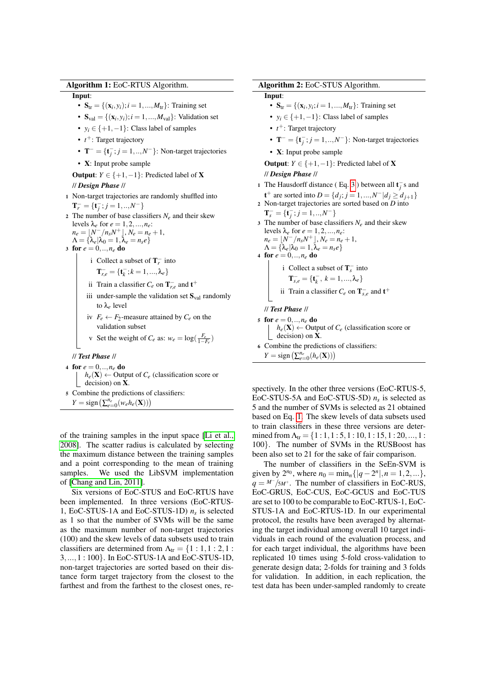#### Algorithm 1: EoC-RTUS Algorithm.

#### Input:

- $S_{tr} = \{ (x_i, y_i); i = 1, ..., M_{tr} \}$ : Training set
- $S_{val} = \{ (x_i, y_i); i = 1, ..., M_{val} \}$ : Validation set
- $y_i \in \{+1, -1\}$ : Class label of samples
- $t^+$ : Target trajectory
- $\mathbf{T}^{-} = {\mathbf{t}_{j}^{-}}; j = 1,..,N^{-}$ : Non-target trajectories
- X: Input probe sample

**Output:**  $Y \in \{+1, -1\}$ : Predicted label of **X** // *Design Phase* //

- <sup>1</sup> Non-target trajectories are randomly shuffled into  $\mathbf{T}_r^- = \{\mathbf{t}_j^-, j = 1, ..., N^- \}$
- 2 The number of base classifiers  $N_e$  and their skew levels  $\lambda_e$  for  $e = 1, 2, ..., n_e$ :

$$
n_e = \lfloor N^- / n_s N^+ \rfloor, N_e = n_e + 1,
$$
  
\n
$$
\Lambda = \{\lambda_e | \lambda_0 = 1, \lambda_e = n_s e\}
$$

- 3 for  $e = 0, \ldots, n_e$  do
	- i Collect a subset of  $T_r^-$  into

$$
\mathbf{T}_{r,e}^-=\{\mathbf{t}_k^-;k=1,...,\lambda_e\}
$$

- ii Train a classifier  $C_e$  on  $\mathbf{T}_{r,e}^-$  and  $\mathbf{t}^+$
- iii under-sample the validation set  $S<sub>val</sub>$  randomly to λ*e* level
- iv  $F_e \leftarrow F_2$ -measure attained by  $C_e$  on the validation subset
- v Set the weight of  $C_e$  as:  $w_e = \log(\frac{F_e}{1-F_e})$

// *Test Phase* //

- 4 for  $e = 0, ..., n_e$  do  $h_e(\mathbf{X}) \leftarrow$  Output of  $C_e$  (classification score or
- <span id="page-6-0"></span>decision) on X. <sup>5</sup> Combine the predictions of classifiers:  $Y = \text{sign}\left(\sum_{e=0}^{n_e} (w_e h_e(\mathbf{X}))\right)$

of the training samples in the input space [\[Li et al.,](#page-10-17) [2008\]](#page-10-17). The scatter radius is calculated by selecting the maximum distance between the training samples and a point corresponding to the mean of training samples. We used the LibSVM implementation of [\[Chang and Lin, 2011\]](#page-10-18).

Six versions of EoC-STUS and EoC-RTUS have been implemented. In three versions (EoC-RTUS-1, EoC-STUS-1A and EoC-STUS-1D)  $n_s$  is selected as 1 so that the number of SVMs will be the same as the maximum number of non-target trajectories (100) and the skew levels of data subsets used to train classifiers are determined from  $\Lambda_{tr} = \{1:1,1:2,1:$ 3,...,1 : 100}. In EoC-STUS-1A and EoC-STUS-1D, non-target trajectories are sorted based on their distance form target trajectory from the closest to the farthest and from the farthest to the closest ones, re-

#### Algorithm 2: EoC-STUS Algorithm.

Input:

- $S_{tr} = \{ (x_i, y_i; i = 1, ..., M_{tr}) : \text{Training set} \}$
- $y_i \in \{+1, -1\}$ : Class label of samples
- *t*<sup>+</sup>: Target trajectory
- $\mathbf{T}^- = {\mathbf{t}_{j}^-; j = 1, ..., N^-}$ : Non-target trajectories
- X: Input probe sample

**Output:**  $Y \in \{+1, -1\}$ : Predicted label of **X** // *Design Phase* //

- 1 The Hausdorff distance (Eq. [3](#page-5-0)) between all  $\mathbf{t}^-_j$  s and **t**<sup>+</sup> are sorted into *D* = {*d<sub>j</sub>*; *j* = 1, ...,*N*<sup>−</sup> |*d<sub>j</sub>* ≥ *d*<sub>*j*+1</sub>}
- <sup>2</sup> Non-target trajectories are sorted based on *D* into  $\mathbf{T}_s^- = {\mathbf{t}_j^-; j = 1, ..., N^-}$ 3 The number of base classifiers  $N_e$  and their skew

levels  $\lambda_e$  for  $e = 1, 2, ..., n_e$ :  $n_e = [N^-/n_s N^+]$ ,  $N_e = n_e + 1$ ,  $\Lambda = {\lambda_e | \lambda_0 = 1, \lambda_e = n_s e}$ 

4 for 
$$
e = 0, \ldots, n_e
$$
 do

i Collect a subset of 
$$
\mathbf{T}_s^-
$$
 into

$$
\mathbf{T}_{s, e}^{-} = \{\mathbf{t}_{k}^{-}, \ k = 1, ..., \lambda_{e}\}
$$

ii Train a classifier 
$$
C_e
$$
 on  $\mathbf{T}_{s,e}^-$  and  $\mathbf{t}^+$ 

// *Test Phase* //

5 for  $e = 0, ..., n_e$  do  $h_e(\mathbf{X}) \leftarrow$  Output of  $C_e$  (classification score or decision) on X.

<span id="page-6-1"></span><sup>6</sup> Combine the predictions of classifiers:  $Y = \text{sign}\left(\sum_{e=0}^{n_e} (h_e(\mathbf{X}))\right)$ 

spectively. In the other three versions (EoC-RTUS-5, EoC-STUS-5A and EoC-STUS-5D) *n<sup>s</sup>* is selected as 5 and the number of SVMs is selected as 21 obtained based on Eq. [1.](#page-4-2) The skew levels of data subsets used to train classifiers in these three versions are determined from  $\Lambda_{tr} = \{1:1,1:5,1:10,1:15,1:20,...,1:$ 100}. The number of SVMs in the RUSBoost has been also set to 21 for the sake of fair comparison.

The number of classifiers in the SeEn-SVM is given by  $2^{n_0}$ , where  $n_0 = \min_n \{ |q - 2^n|, n = 1, 2, ...\}$ ,  $q = \frac{M}{SM^+}$ . The number of classifiers in EoC-RUS, EoC-GRUS, EoC-CUS, EoC-GCUS and EoC-TUS are set to 100 to be comparable to EoC-RTUS-1, EoC-STUS-1A and EoC-RTUS-1D. In our experimental protocol, the results have been averaged by alternating the target individual among overall 10 target individuals in each round of the evaluation process, and for each target individual, the algorithms have been replicated 10 times using 5-fold cross-validation to generate design data; 2-folds for training and 3 folds for validation. In addition, in each replication, the test data has been under-sampled randomly to create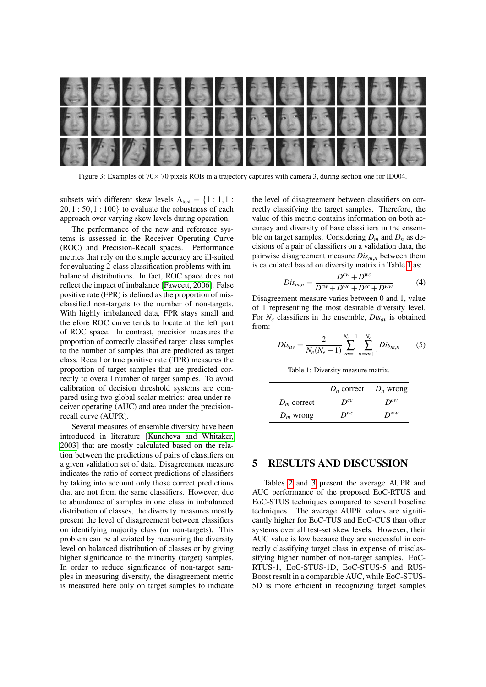<span id="page-7-0"></span>

Figure 3: Examples of  $70 \times 70$  pixels ROIs in a trajectory captures with camera 3, during section one for ID004.

subsets with different skew levels  $\Lambda_{\text{test}} = \{1 : 1, 1 :$  $20, 1: 50, 1: 100$ } to evaluate the robustness of each approach over varying skew levels during operation.

The performance of the new and reference systems is assessed in the Receiver Operating Curve (ROC) and Precision-Recall spaces. Performance metrics that rely on the simple accuracy are ill-suited for evaluating 2-class classification problems with imbalanced distributions. In fact, ROC space does not reflect the impact of imbalance [\[Fawcett, 2006\]](#page-10-19). False positive rate (FPR) is defined as the proportion of misclassified non-targets to the number of non-targets. With highly imbalanced data, FPR stays small and therefore ROC curve tends to locate at the left part of ROC space. In contrast, precision measures the proportion of correctly classified target class samples to the number of samples that are predicted as target class. Recall or true positive rate (TPR) measures the proportion of target samples that are predicted correctly to overall number of target samples. To avoid calibration of decision threshold systems are compared using two global scalar metrics: area under receiver operating (AUC) and area under the precisionrecall curve (AUPR).

Several measures of ensemble diversity have been introduced in literature [\[Kuncheva and Whitaker,](#page-10-20) [2003\]](#page-10-20) that are mostly calculated based on the relation between the predictions of pairs of classifiers on a given validation set of data. Disagreement measure indicates the ratio of correct predictions of classifiers by taking into account only those correct predictions that are not from the same classifiers. However, due to abundance of samples in one class in imbalanced distribution of classes, the diversity measures mostly present the level of disagreement between classifiers on identifying majority class (or non-targets). This problem can be alleviated by measuring the diversity level on balanced distribution of classes or by giving higher significance to the minority (target) samples. In order to reduce significance of non-target samples in measuring diversity, the disagreement metric is measured here only on target samples to indicate

the level of disagreement between classifiers on correctly classifying the target samples. Therefore, the value of this metric contains information on both accuracy and diversity of base classifiers in the ensemble on target samples. Considering  $D_m$  and  $D_n$  as decisions of a pair of classifiers on a validation data, the pairwise disagreement measure *Dism*,*<sup>n</sup>* between them is calculated based on diversity matrix in Table [1](#page-7-1) as:

$$
Dis_{m,n} = \frac{D^{cw} + D^{wc}}{D^{cw} + D^{wc} + D^{cc} + D^{ww}}
$$
 (4)

Disagreement measure varies between 0 and 1, value of 1 representing the most desirable diversity level. For *N<sup>e</sup>* classifiers in the ensemble, *Disav* is obtained from:

$$
Dis_{av} = \frac{2}{N_e(N_e - 1)} \sum_{m=1}^{N_e - 1} \sum_{n=m+1}^{N_e} Dis_{m,n}
$$
 (5)

Table 1: Diversity measure matrix.

<span id="page-7-1"></span>

|               | $D_n$ correct $D_n$ wrong |          |
|---------------|---------------------------|----------|
| $D_m$ correct | $D^{cc}$                  | $D^{cw}$ |
| $D_m$ wrong   | $D^{wc}$                  | $D^{ww}$ |

### 5 RESULTS AND DISCUSSION

Tables [2](#page-9-0) and [3](#page-9-1) present the average AUPR and AUC performance of the proposed EoC-RTUS and EoC-STUS techniques compared to several baseline techniques. The average AUPR values are significantly higher for EoC-TUS and EoC-CUS than other systems over all test-set skew levels. However, their AUC value is low because they are successful in correctly classifying target class in expense of misclassifying higher number of non-target samples. EoC-RTUS-1, EoC-STUS-1D, EoC-STUS-5 and RUS-Boost result in a comparable AUC, while EoC-STUS-5D is more efficient in recognizing target samples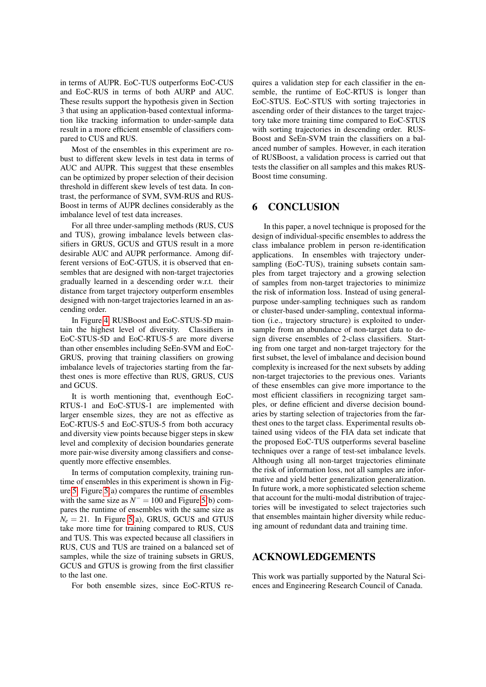in terms of AUPR. EoC-TUS outperforms EoC-CUS and EoC-RUS in terms of both AURP and AUC. These results support the hypothesis given in Section 3 that using an application-based contextual information like tracking information to under-sample data result in a more efficient ensemble of classifiers compared to CUS and RUS.

Most of the ensembles in this experiment are robust to different skew levels in test data in terms of AUC and AUPR. This suggest that these ensembles can be optimized by proper selection of their decision threshold in different skew levels of test data. In contrast, the performance of SVM, SVM-RUS and RUS-Boost in terms of AUPR declines considerably as the imbalance level of test data increases.

For all three under-sampling methods (RUS, CUS and TUS), growing imbalance levels between classifiers in GRUS, GCUS and GTUS result in a more desirable AUC and AUPR performance. Among different versions of EoC-GTUS, it is observed that ensembles that are designed with non-target trajectories gradually learned in a descending order w.r.t. their distance from target trajectory outperform ensembles designed with non-target trajectories learned in an ascending order.

In Figure [4,](#page-9-2) RUSBoost and EoC-STUS-5D maintain the highest level of diversity. Classifiers in EoC-STUS-5D and EoC-RTUS-5 are more diverse than other ensembles including SeEn-SVM and EoC-GRUS, proving that training classifiers on growing imbalance levels of trajectories starting from the farthest ones is more effective than RUS, GRUS, CUS and GCUS.

It is worth mentioning that, eventhough EoC-RTUS-1 and EoC-STUS-1 are implemented with larger ensemble sizes, they are not as effective as EoC-RTUS-5 and EoC-STUS-5 from both accuracy and diversity view points because bigger steps in skew level and complexity of decision boundaries generate more pair-wise diversity among classifiers and consequently more effective ensembles.

In terms of computation complexity, training runtime of ensembles in this experiment is shown in Figure [5.](#page-10-21) Figure [5\(](#page-10-21)a) compares the runtime of ensembles with the same size as  $N^-$  = 100 and Figure [5\(](#page-10-21)b) compares the runtime of ensembles with the same size as  $N_e = 21$ . In Figure [5\(](#page-10-21)a), GRUS, GCUS and GTUS take more time for training compared to RUS, CUS and TUS. This was expected because all classifiers in RUS, CUS and TUS are trained on a balanced set of samples, while the size of training subsets in GRUS, GCUS and GTUS is growing from the first classifier to the last one.

For both ensemble sizes, since EoC-RTUS re-

quires a validation step for each classifier in the ensemble, the runtime of EoC-RTUS is longer than EoC-STUS. EoC-STUS with sorting trajectories in ascending order of their distances to the target trajectory take more training time compared to EoC-STUS with sorting trajectories in descending order. RUS-Boost and SeEn-SVM train the classifiers on a balanced number of samples. However, in each iteration of RUSBoost, a validation process is carried out that tests the classifier on all samples and this makes RUS-Boost time consuming.

### 6 CONCLUSION

In this paper, a novel technique is proposed for the design of individual-specific ensembles to address the class imbalance problem in person re-identification applications. In ensembles with trajectory undersampling (EoC-TUS), training subsets contain samples from target trajectory and a growing selection of samples from non-target trajectories to minimize the risk of information loss. Instead of using generalpurpose under-sampling techniques such as random or cluster-based under-sampling, contextual information (i.e., trajectory structure) is exploited to undersample from an abundance of non-target data to design diverse ensembles of 2-class classifiers. Starting from one target and non-target trajectory for the first subset, the level of imbalance and decision bound complexity is increased for the next subsets by adding non-target trajectories to the previous ones. Variants of these ensembles can give more importance to the most efficient classifiers in recognizing target samples, or define efficient and diverse decision boundaries by starting selection of trajectories from the farthest ones to the target class. Experimental results obtained using videos of the FIA data set indicate that the proposed EoC-TUS outperforms several baseline techniques over a range of test-set imbalance levels. Although using all non-target trajectories eliminate the risk of information loss, not all samples are informative and yield better generalization generalization. In future work, a more sophisticated selection scheme that account for the multi-modal distribution of trajectories will be investigated to select trajectories such that ensembles maintain higher diversity while reducing amount of redundant data and training time.

### ACKNOWLEDGEMENTS

This work was partially supported by the Natural Sciences and Engineering Research Council of Canada.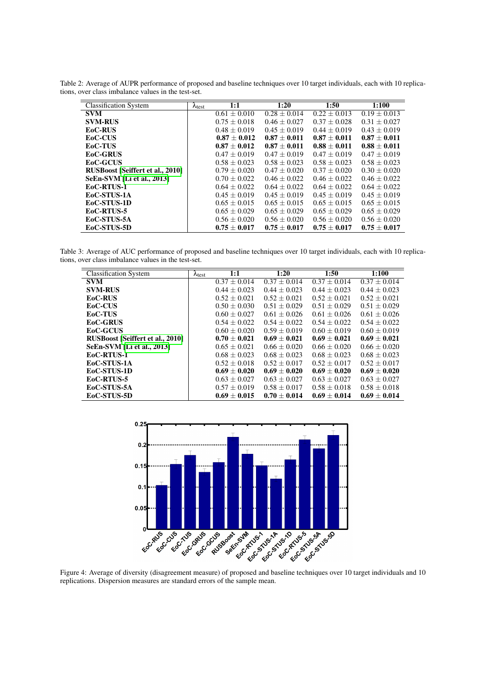Classification System  $\lambda_{\text{test}}$  1:1 1:20 1:50 1:100<br>SVM  $0.61 \pm 0.010$   $0.28 \pm 0.014$   $0.22 \pm 0.013$   $0.19 \pm 0.013$  $\begin{array}{|c|c|c|c|c|}\n\hline\n\textbf{SVM} & & & 0.61 \pm 0.010 & 0.28 \pm 0.014 & 0.22 \pm 0.013 & 0.19 \pm 0.013 \\
\hline\n\textbf{SVM-RUS} & & & 0.75 \pm 0.018 & 0.46 \pm 0.027 & 0.37 \pm 0.028 & 0.31 \pm 0.027 \\
\hline\n\end{array}$  $\textbf{SVM-RUS}$ <br>  $\textbf{EoC-RUS}$   $\textbf{0.48} \pm 0.019$   $\textbf{0.45} \pm 0.019$   $\textbf{0.45} \pm 0.019$   $\textbf{0.44} \pm 0.019$   $\textbf{0.43} \pm 0.019$   $\textbf{0.43} \pm 0.019$ EoC-RUS  $\begin{array}{|l|c|c|c|c|c|c|}\n\hline\n & 0.48 \pm 0.019 & 0.45 \pm 0.019 & 0.44 \pm 0.019 & 0.43 \pm 0.019 \\
\hline\n & 0.87 \pm 0.012 & 0.87 \pm 0.011 & 0.87 \pm 0.011 & 0.87 \pm 0.011\n\end{array}$  $\textbf{EoC-CUS} \quad \textbf{0.87} \pm \textbf{0.012} \quad \textbf{0.87} \pm \textbf{0.011} \quad \textbf{0.87} \pm \textbf{0.011} \quad \textbf{0.87} \pm \textbf{0.011} \quad \textbf{0.88} \pm \textbf{0.011} \quad \textbf{0.88} \pm \textbf{0.011}$ EoC-TUS  $0.87 \pm 0.012$   $0.87 \pm 0.011$ <br> $0.47 \pm 0.019$   $0.47 \pm 0.019$  $0.47 \pm 0.019$   $0.47 \pm 0.019$   $0.47 \pm 0.019$   $0.47 \pm 0.019$  $\textbf{EoC-GCUS}$  0.58  $\pm$  0.023 0.58  $\pm$  0.023 0.58  $\pm$  0.023 0.58  $\pm$  0.023 **RUSBoost [\[Seiffert et al., 2010\]](#page-11-0)** 0.79  $\pm$  0.020 0.47  $\pm$  0.020 0.37  $\pm$  0.020 0.30  $\pm$  0.020 **SeEn-SVM [\[Li et al., 2013\]](#page-10-8)**  $0.70 \pm 0.022$   $0.46 \pm 0.022$   $0.46 \pm 0.022$   $0.46 \pm 0.022$   $0.64 \pm 0.022$   $0.64 \pm 0.022$   $0.64 \pm 0.022$   $0.64 \pm 0.022$ **EoC-RTUS-1**  $0.64 \pm 0.022$   $0.64 \pm 0.022$   $0.64 \pm 0.022$   $0.64 \pm 0.022$   $0.64 \pm 0.022$ <br>**EoC-STUS-1A**  $0.45 \pm 0.019$   $0.45 \pm 0.019$   $0.45 \pm 0.019$   $0.45 \pm 0.019$ EoC-STUS-1A EoC-STUS-1D  $0.65 \pm 0.015$   $0.65 \pm 0.015$   $0.65 \pm 0.015$   $0.65 \pm 0.015$   $0.65 \pm 0.015$   $0.65 \pm 0.029$   $0.65 \pm 0.029$   $0.65 \pm 0.029$   $0.65 \pm 0.029$ **EoC-RTUS-5**  $\text{EoC-TUS-5A}$   $0.65 \pm 0.029$   $0.65 \pm 0.029$   $0.56 \pm 0.020$   $0.56 \pm 0.020$   $0.56 \pm 0.020$   $0.56 \pm 0.020$ EoC-STUS-5A  $\textbf{E} = \begin{bmatrix} 0.56 \pm 0.020 & 0.56 \pm 0.020 & 0.56 \pm 0.020 & 0.56 \pm 0.0020 & 0.56 \pm 0.0020 \\ 0.75 \pm 0.017 & 0.75 \pm 0.017 & 0.75 \pm 0.017 & 0.75 \pm 0.017 \end{bmatrix}$ EoC-STUS-5D

<span id="page-9-0"></span>Table 2: Average of AUPR performance of proposed and baseline techniques over 10 target individuals, each with 10 replications, over class imbalance values in the test-set.

<span id="page-9-1"></span>Table 3: Average of AUC performance of proposed and baseline techniques over 10 target individuals, each with 10 replications, over class imbalance values in the test-set.

| <b>Classification System</b>            | $\lambda_{\text{test}}$ | 1:1                         | 1:20             | 1:50             | 1:100            |
|-----------------------------------------|-------------------------|-----------------------------|------------------|------------------|------------------|
| <b>SVM</b>                              |                         | $\overline{0.37 \pm 0.014}$ | $0.37 + 0.014$   | $0.37 + 0.014$   | $0.37 \pm 0.014$ |
| <b>SVM-RUS</b>                          |                         | $0.44 \pm 0.023$            | $0.44 + 0.023$   | $0.44 + 0.023$   | $0.44 + 0.023$   |
| EoC-RUS                                 |                         | $0.52 + 0.021$              | $0.52 \pm 0.021$ | $0.52 \pm 0.021$ | $0.52 + 0.021$   |
| EoC-CUS                                 |                         | $0.50 + 0.030$              | $0.51 \pm 0.029$ | $0.51 + 0.029$   | $0.51 + 0.029$   |
| <b>EoC-TUS</b>                          |                         | $0.60 + 0.027$              | $0.61 + 0.026$   | $0.61 + 0.026$   | $0.61 + 0.026$   |
| <b>EoC-GRUS</b>                         |                         | $0.54 + 0.022$              | $0.54 + 0.022$   | $0.54 + 0.022$   | $0.54 + 0.022$   |
| <b>EoC-GCUS</b>                         |                         | $0.60 + 0.020$              | $0.59 + 0.019$   | $0.60 + 0.019$   | $0.60 + 0.019$   |
| <b>RUSBoost [Seiffert et al., 2010]</b> |                         | $0.70 + 0.021$              | $0.69 \pm 0.021$ | $0.69 + 0.021$   | $0.69 + 0.021$   |
| SeEn-SVM [Li et al., 2013]              |                         | $0.65 + 0.021$              | $0.66 + 0.020$   | $0.66 + 0.020$   | $0.66 + 0.020$   |
| EoC-RTUS-1                              |                         | $0.68 + 0.023$              | $0.68 + 0.023$   | $0.68 + 0.023$   | $0.68 + 0.023$   |
| EoC-STUS-1A                             |                         | $0.52 + 0.018$              | $0.52 + 0.017$   | $0.52 + 0.017$   | $0.52 + 0.017$   |
| EoC-STUS-1D                             |                         | $0.69 + 0.020$              | $0.69 + 0.020$   | $0.69 + 0.020$   | $0.69 + 0.020$   |
| EoC-RTUS-5                              |                         | $0.63 + 0.027$              | $0.63 + 0.027$   | $0.63 + 0.027$   | $0.63 + 0.027$   |
| EoC-STUS-5A                             |                         | $0.57 \pm 0.019$            | $0.58 + 0.017$   | $0.58 + 0.018$   | $0.58 \pm 0.018$ |
| EoC-STUS-5D                             |                         | $0.69 \pm 0.015$            | $0.70 + 0.014$   | $0.69 \pm 0.014$ | $0.69 \pm 0.014$ |

<span id="page-9-2"></span>

Figure 4: Average of diversity (disagreement measure) of proposed and baseline techniques over 10 target individuals and 10 replications. Dispersion measures are standard errors of the sample mean.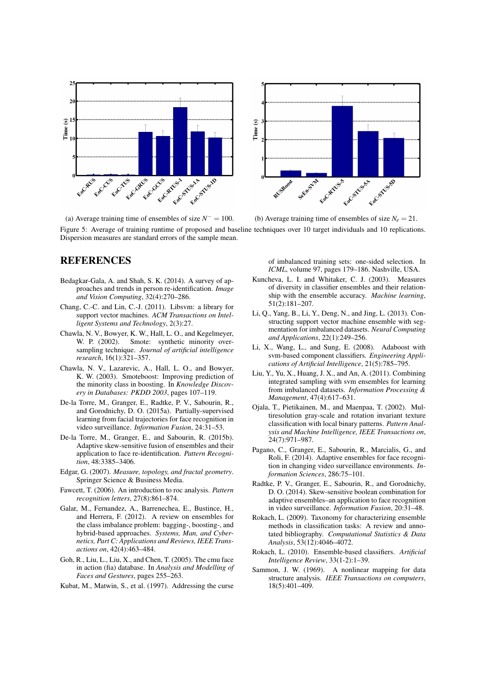<span id="page-10-21"></span>



(a) Average training time of ensembles of size  $N^- = 100$ . (b) Average training time of ensembles of size  $N_e = 21$ . Figure 5: Average of training runtime of proposed and baseline techniques over 10 target individuals and 10 replications. Dispersion measures are standard errors of the sample mean.

## **REFERENCES**

- <span id="page-10-0"></span>Bedagkar-Gala, A. and Shah, S. K. (2014). A survey of approaches and trends in person re-identification. *Image and Vision Computing*, 32(4):270–286.
- <span id="page-10-18"></span>Chang, C.-C. and Lin, C.-J. (2011). Libsvm: a library for support vector machines. *ACM Transactions on Intelligent Systems and Technology*, 2(3):27.
- <span id="page-10-10"></span>Chawla, N. V., Bowyer, K. W., Hall, L. O., and Kegelmeyer, W. P. (2002). Smote: synthetic minority oversampling technique. *Journal of artificial intelligence research*, 16(1):321–357.
- <span id="page-10-7"></span>Chawla, N. V., Lazarevic, A., Hall, L. O., and Bowyer, K. W. (2003). Smoteboost: Improving prediction of the minority class in boosting. In *Knowledge Discovery in Databases: PKDD 2003*, pages 107–119.
- <span id="page-10-3"></span>De-la Torre, M., Granger, E., Radtke, P. V., Sabourin, R., and Gorodnichy, D. O. (2015a). Partially-supervised learning from facial trajectories for face recognition in video surveillance. *Information Fusion*, 24:31–53.
- <span id="page-10-4"></span>De-la Torre, M., Granger, E., and Sabourin, R. (2015b). Adaptive skew-sensitive fusion of ensembles and their application to face re-identification. *Pattern Recognition*, 48:3385–3406.
- <span id="page-10-9"></span>Edgar, G. (2007). *Measure, topology, and fractal geometry*. Springer Science & Business Media.
- <span id="page-10-19"></span>Fawcett, T. (2006). An introduction to roc analysis. *Pattern recognition letters*, 27(8):861–874.
- <span id="page-10-6"></span>Galar, M., Fernandez, A., Barrenechea, E., Bustince, H., and Herrera, F. (2012). A review on ensembles for the class imbalance problem: bagging-, boosting-, and hybrid-based approaches. *Systems, Man, and Cybernetics, Part C: Applications and Reviews, IEEE Transactions on*, 42(4):463–484.
- <span id="page-10-13"></span>Goh, R., Liu, L., Liu, X., and Chen, T. (2005). The cmu face in action (fia) database. In *Analysis and Modelling of Faces and Gestures*, pages 255–263.
- <span id="page-10-11"></span>Kubat, M., Matwin, S., et al. (1997). Addressing the curse

of imbalanced training sets: one-sided selection. In *ICML*, volume 97, pages 179–186. Nashville, USA.

- <span id="page-10-20"></span>Kuncheva, L. I. and Whitaker, C. J. (2003). Measures of diversity in classifier ensembles and their relationship with the ensemble accuracy. *Machine learning*, 51(2):181–207.
- <span id="page-10-8"></span>Li, Q., Yang, B., Li, Y., Deng, N., and Jing, L. (2013). Constructing support vector machine ensemble with segmentation for imbalanced datasets. *Neural Computing and Applications*, 22(1):249–256.
- <span id="page-10-17"></span>Li, X., Wang, L., and Sung, E. (2008). Adaboost with svm-based component classifiers. *Engineering Applications of Artificial Intelligence*, 21(5):785–795.
- <span id="page-10-15"></span>Liu, Y., Yu, X., Huang, J. X., and An, A. (2011). Combining integrated sampling with svm ensembles for learning from imbalanced datasets. *Information Processing & Management*, 47(4):617–631.
- <span id="page-10-16"></span>Ojala, T., Pietikainen, M., and Maenpaa, T. (2002). Multiresolution gray-scale and rotation invariant texture classification with local binary patterns. *Pattern Analysis and Machine Intelligence, IEEE Transactions on*, 24(7):971–987.
- <span id="page-10-1"></span>Pagano, C., Granger, E., Sabourin, R., Marcialis, G., and Roli, F. (2014). Adaptive ensembles for face recognition in changing video surveillance environments. *Information Sciences*, 286:75–101.
- <span id="page-10-2"></span>Radtke, P. V., Granger, E., Sabourin, R., and Gorodnichy, D. O. (2014). Skew-sensitive boolean combination for adaptive ensembles–an application to face recognition in video surveillance. *Information Fusion*, 20:31–48.
- <span id="page-10-12"></span>Rokach, L. (2009). Taxonomy for characterizing ensemble methods in classification tasks: A review and annotated bibliography. *Computational Statistics & Data Analysis*, 53(12):4046–4072.
- <span id="page-10-5"></span>Rokach, L. (2010). Ensemble-based classifiers. *Artificial Intelligence Review*, 33(1-2):1–39.
- <span id="page-10-14"></span>Sammon, J. W. (1969). A nonlinear mapping for data structure analysis. *IEEE Transactions on computers*, 18(5):401–409.